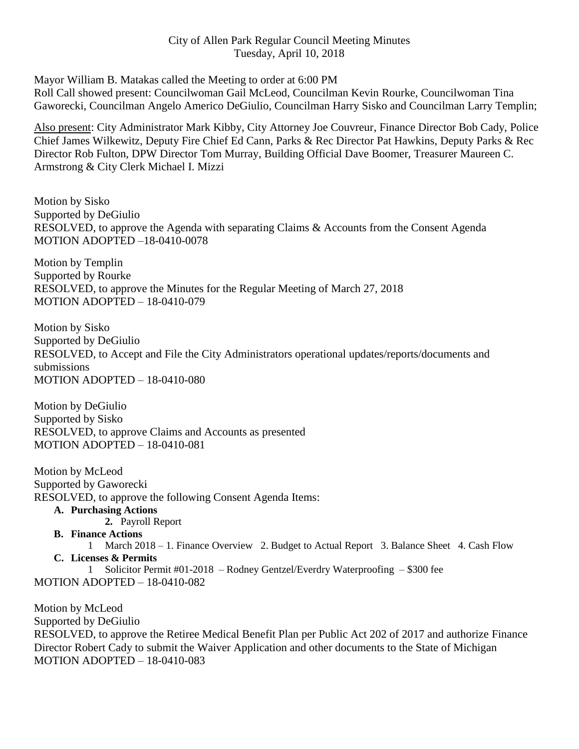## City of Allen Park Regular Council Meeting Minutes Tuesday, April 10, 2018

Mayor William B. Matakas called the Meeting to order at 6:00 PM

Roll Call showed present: Councilwoman Gail McLeod, Councilman Kevin Rourke, Councilwoman Tina Gaworecki, Councilman Angelo Americo DeGiulio, Councilman Harry Sisko and Councilman Larry Templin;

Also present: City Administrator Mark Kibby, City Attorney Joe Couvreur, Finance Director Bob Cady, Police Chief James Wilkewitz, Deputy Fire Chief Ed Cann, Parks & Rec Director Pat Hawkins, Deputy Parks & Rec Director Rob Fulton, DPW Director Tom Murray, Building Official Dave Boomer, Treasurer Maureen C. Armstrong & City Clerk Michael I. Mizzi

Motion by Sisko Supported by DeGiulio RESOLVED, to approve the Agenda with separating Claims & Accounts from the Consent Agenda MOTION ADOPTED –18-0410-0078

Motion by Templin Supported by Rourke RESOLVED, to approve the Minutes for the Regular Meeting of March 27, 2018 MOTION ADOPTED – 18-0410-079

Motion by Sisko Supported by DeGiulio RESOLVED, to Accept and File the City Administrators operational updates/reports/documents and submissions MOTION ADOPTED – 18-0410-080

Motion by DeGiulio Supported by Sisko RESOLVED, to approve Claims and Accounts as presented MOTION ADOPTED – 18-0410-081

Motion by McLeod Supported by Gaworecki RESOLVED, to approve the following Consent Agenda Items:

**A. Purchasing Actions**

**2.** Payroll Report

**B. Finance Actions**

1 March 2018 – 1. Finance Overview 2. Budget to Actual Report 3. Balance Sheet 4. Cash Flow **C. Licenses & Permits**

1 Solicitor Permit #01-2018 – Rodney Gentzel/Everdry Waterproofing – \$300 fee MOTION ADOPTED – 18-0410-082

Motion by McLeod Supported by DeGiulio RESOLVED, to approve the Retiree Medical Benefit Plan per Public Act 202 of 2017 and authorize Finance Director Robert Cady to submit the Waiver Application and other documents to the State of Michigan MOTION ADOPTED – 18-0410-083